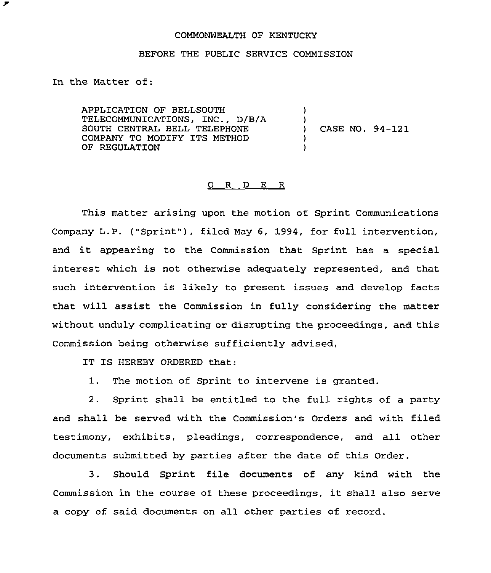## COMMONWEALTH OF KENTUCKY

## BEFORE THE PUBLIC SERVICE COMMISSION

In the Matter of:

 $\overline{r}$ 

APPLICATION OF BELLSOUTH TELECOMMUNICATIONS, INC., D/B/A SOUTH CENTRAL BELL TELEPHONE COMPANY TO MODIFY ITS METHOD OF REGULATION ) ) ) CASE NO. 94-121 ) )

## 0 R D E R

This matter arising upon the motion of Sprint Communications Company L.P. ("Sprint" ), filed May 6, 1994, for full intervention, and it appearing to the Commission that Sprint has <sup>a</sup> special interest which is not otherwise adequately represented, and that such intervention is likely to present issues and develop facts that will assist the Commission in fully considering the matter without unduly complicating or disrupting the proceedings, and this Commission being otherwise sufficiently advised,

IT IS HEREBY ORDERED that:

1. The motion of Sprint to intervene is granted.

2. Sprint shall be entitled to the full rights of a party and shall be served with the Commission's Orders and with filed testimony, exhibits, pleadings, correspondence, and all other documents submitted by parties after the date of this Order.

3. Should Sprint file documents of any kind with the Commission in the course of these proceedings, it shall also serve a copy of said documents on all other parties of record.